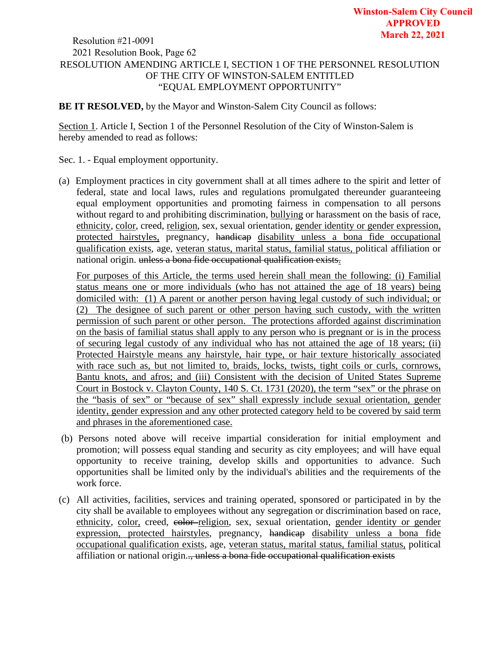## RESOLUTION AMENDING ARTICLE I, SECTION 1 OF THE PERSONNEL RESOLUTION OF THE CITY OF WINSTON-SALEM ENTITLED "EQUAL EMPLOYMENT OPPORTUNITY" **March 22, 2021** Resolution #21-0091 2021 Resolution Book, Page 62

**BE IT RESOLVED,** by the Mayor and Winston-Salem City Council as follows:

Section 1. Article I, Section 1 of the Personnel Resolution of the City of Winston-Salem is hereby amended to read as follows:

- Sec. 1. Equal employment opportunity.
- (a) Employment practices in city government shall at all times adhere to the spirit and letter of federal, state and local laws, rules and regulations promulgated thereunder guaranteeing equal employment opportunities and promoting fairness in compensation to all persons without regard to and prohibiting discrimination, bullying or harassment on the basis of race, ethnicity, color, creed, religion, sex, sexual orientation, gender identity or gender expression, protected hairstyles, pregnancy, handicap disability unless a bona fide occupational qualification exists, age, veteran status, marital status, familial status, political affiliation or national origin. unless a bona fide occupational qualification exists.

For purposes of this Article, the terms used herein shall mean the following: (i) Familial status means one or more individuals (who has not attained the age of 18 years) being domiciled with: (1) A parent or another person having legal custody of such individual; or (2) The designee of such parent or other person having such custody, with the written permission of such parent or other person. The protections afforded against discrimination on the basis of familial status shall apply to any person who is pregnant or is in the process of securing legal custody of any individual who has not attained the age of 18 years; (ii) Protected Hairstyle means any hairstyle, hair type, or hair texture historically associated with race such as, but not limited to, braids, locks, twists, tight coils or curls, cornrows, Bantu knots, and afros; and (iii) Consistent with the decision of United States Supreme Court in Bostock v. Clayton County, 140 S. Ct. 1731 (2020), the term "sex" or the phrase on the "basis of sex" or "because of sex" shall expressly include sexual orientation, gender identity, gender expression and any other protected category held to be covered by said term and phrases in the aforementioned case.

- (b) Persons noted above will receive impartial consideration for initial employment and promotion; will possess equal standing and security as city employees; and will have equal opportunity to receive training, develop skills and opportunities to advance. Such opportunities shall be limited only by the individual's abilities and the requirements of the work force.
- (c) All activities, facilities, services and training operated, sponsored or participated in by the city shall be available to employees without any segregation or discrimination based on race, ethnicity, color, creed, eolor-religion, sex, sexual orientation, gender identity or gender expression, protected hairstyles, pregnancy, handicap disability unless a bona fide occupational qualification exists, age, veteran status, marital status, familial status, political affiliation or national origin.., unless a bona fide occupational qualification exists